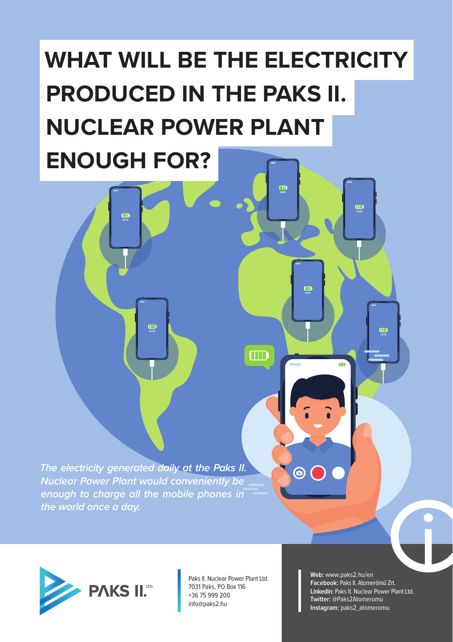## **WHAT WILL BE THE ELECTRICITY PRODUCED IN THE PAKS II. NUCLEAR POWER PLANT ENOUGH FOR?**

 $\Box$ 

 $\Box$ 

 $\Box$ 

 $\ddot{\bm{\Theta}}$ 

*The electricity generated daily at the Paks II. Nuclear Power Plant would conveniently be enough to charge all the mobile phones in the world once a day.*

 $\Box$ 

 $\Box$ 



Paks II. Nuclear Power Plant Ltd. 7031 Paks, PO Box 116 +36 75 999 200 info@paks2.hu

**Web:** www.paks2.hu/en **Facebook:** Paks II. Atomerőmű Zrt. **Linkedin:** Paks II. Nuclear Power Plant Ltd. **Twitter:** @Paks2Atomeromu **Instagram:** paks2\_atomeromu

 $\Box$ 

 $\Box$